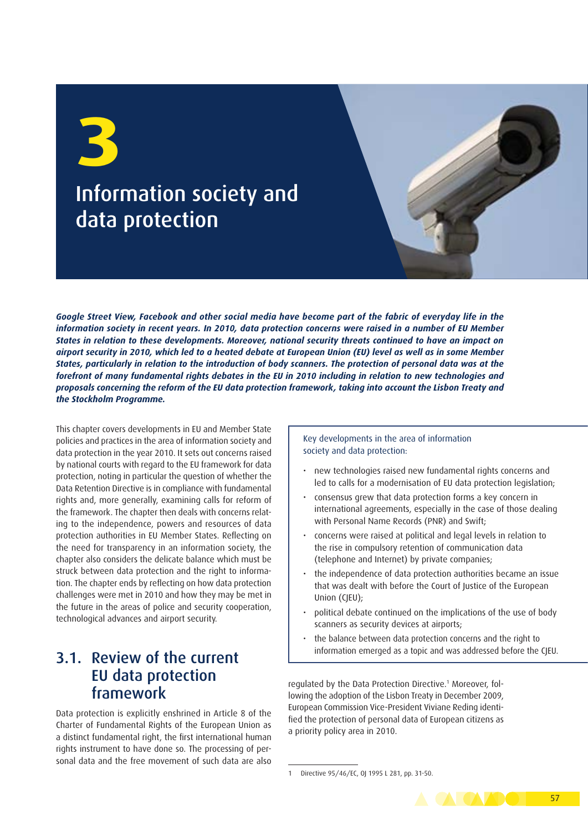# Information society and data protection

*Google Street View, Facebook and other social media have become part of the fabric of everyday life in the information society in recent years. In 2010, data protection concerns were raised in a number of EU Member States in relation to these developments. Moreover, national security threats continued to have an impact on airport security in 2010, which led to a heated debate at European Union (EU) level as well as in some Member States, particularly in relation to the introduction of body scanners. The protection of personal data was at the forefront of many fundamental rights debates in the EU in 2010 including in relation to new technologies and proposals concerning the reform of the EU data protection framework, taking into account the Lisbon Treaty and the Stockholm Programme.*

This chapter covers developments in EU and Member State policies and practices in the area of information society and data protection in the year 2010. It sets out concerns raised by national courts with regard to the EU framework for data protection, noting in particular the question of whether the Data Retention Directive is in compliance with fundamental rights and, more generally, examining calls for reform of the framework. The chapter then deals with concerns relating to the independence, powers and resources of data protection authorities in EU Member States. Reflecting on the need for transparency in an information society, the chapter also considers the delicate balance which must be struck between data protection and the right to information. The chapter ends by reflecting on how data protection challenges were met in 2010 and how they may be met in the future in the areas of police and security cooperation, technological advances and airport security.

#### 3.1. Review of the current EU data protection framework

Data protection is explicitly enshrined in Article 8 of the Charter of Fundamental Rights of the European Union as a distinct fundamental right, the first international human rights instrument to have done so. The processing of personal data and the free movement of such data are also

Key developments in the area of information society and data protection:

- new technologies raised new fundamental rights concerns and led to calls for a modernisation of EU data protection legislation;
- consensus grew that data protection forms a key concern in international agreements, especially in the case of those dealing with Personal Name Records (PNR) and Swift;
- concerns were raised at political and legal levels in relation to the rise in compulsory retention of communication data (telephone and Internet) by private companies;
- the independence of data protection authorities became an issue that was dealt with before the Court of Justice of the European Union (CJEU);
- political debate continued on the implications of the use of body scanners as security devices at airports;
- the balance between data protection concerns and the right to information emerged as a topic and was addressed before the CJEU.

regulated by the Data Protection Directive.<sup>1</sup> Moreover, following the adoption of the Lisbon Treaty in December 2009, European Commission Vice-President Viviane Reding identified the protection of personal data of European citizens as a priority policy area in 2010.

Directive 95/46/EC, 0J 1995 L 281, pp. 31-50.

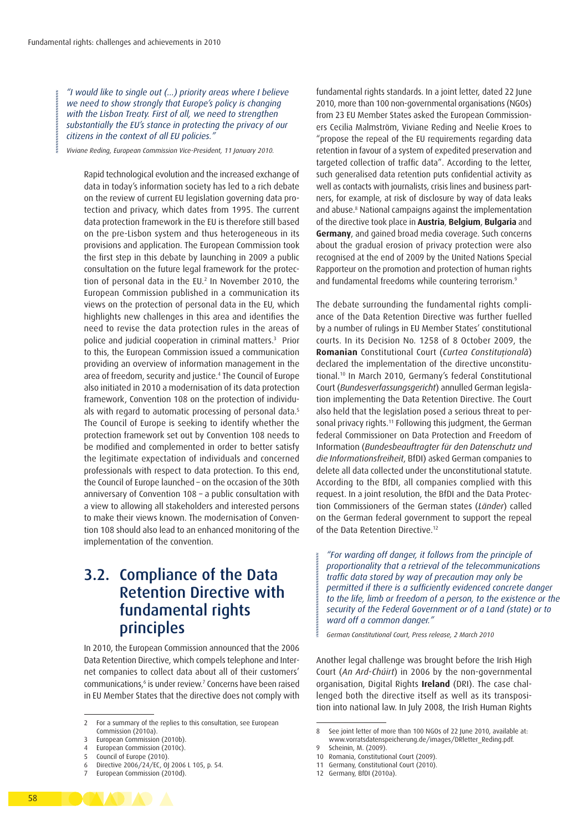*"I would like to single out (…) priority areas where I believe we need to show strongly that Europe's policy is changing with the Lisbon Treaty. First of all, we need to strengthen substantially the EU's stance in protecting the privacy of our citizens in the context of all EU policies."*

*Viviane Reding, European Commission Vice-President, 11 January 2010.*

Rapid technological evolution and the increased exchange of data in today's information society has led to a rich debate on the review of current EU legislation governing data protection and privacy, which dates from 1995. The current data protection framework in the EU is therefore still based on the pre-Lisbon system and thus heterogeneous in its provisions and application. The European Commission took the first step in this debate by launching in 2009 a public consultation on the future legal framework for the protection of personal data in the EU.<sup>2</sup> In November 2010, the European Commission published in a communication its views on the protection of personal data in the EU, which highlights new challenges in this area and identifies the need to revise the data protection rules in the areas of police and judicial cooperation in criminal matters.3 Prior to this, the European Commission issued a communication providing an overview of information management in the area of freedom, security and justice.4 The Council of Europe also initiated in 2010 a modernisation of its data protection framework, Convention 108 on the protection of individuals with regard to automatic processing of personal data.<sup>5</sup> The Council of Europe is seeking to identify whether the protection framework set out by Convention 108 needs to be modified and complemented in order to better satisfy the legitimate expectation of individuals and concerned professionals with respect to data protection. To this end, the Council of Europe launched – on the occasion of the 30th anniversary of Convention 108 – a public consultation with a view to allowing all stakeholders and interested persons to make their views known. The modernisation of Convention 108 should also lead to an enhanced monitoring of the implementation of the convention.

### 3.2. Compliance of the Data Retention Directive with fundamental rights principles

In 2010, the European Commission announced that the 2006 Data Retention Directive, which compels telephone and Internet companies to collect data about all of their customers' communications,<sup>6</sup> is under review.<sup>7</sup> Concerns have been raised in EU Member States that the directive does not comply with

fundamental rights standards. In a joint letter, dated 22 June 2010, more than 100 non-governmental organisations (NGOs) from 23 EU Member States asked the European Commissioners Cecilia Malmström, Viviane Reding and Neelie Kroes to "propose the repeal of the EU requirements regarding data retention in favour of a system of expedited preservation and targeted collection of traffic data". According to the letter, such generalised data retention puts confidential activity as well as contacts with journalists, crisis lines and business partners, for example, at risk of disclosure by way of data leaks and abuse.8 National campaigns against the implementation of the directive took place in **Austria**, **Belgium**, **Bulgaria** and **Germany**, and gained broad media coverage. Such concerns about the gradual erosion of privacy protection were also recognised at the end of 2009 by the United Nations Special Rapporteur on the promotion and protection of human rights and fundamental freedoms while countering terrorism.<sup>9</sup>

The debate surrounding the fundamental rights compliance of the Data Retention Directive was further fuelled by a number of rulings in EU Member States' constitutional courts. In its Decision No. 1258 of 8 October 2009, the **Romanian** Constitutional Court (*Curtea Constituţională*) declared the implementation of the directive unconstitutional.10 In March 2010, Germany's federal Constitutional Court (*Bundesverfassungsgericht*) annulled German legislation implementing the Data Retention Directive. The Court also held that the legislation posed a serious threat to personal privacy rights.11 Following this judgment, the German federal Commissioner on Data Protection and Freedom of Information (*Bundesbeauftragter für den Datenschutz und die Informationsfreiheit*, BfDI) asked German companies to delete all data collected under the unconstitutional statute. According to the BfDI, all companies complied with this request. In a joint resolution, the BfDI and the Data Protection Commissioners of the German states (*Länder*) called on the German federal government to support the repeal of the Data Retention Directive.12

*"For warding off danger, it follows from the principle of proportionality that a retrieval of the telecommunications traffic data stored by way of precaution may only be permitted if there is a sufficiently evidenced concrete danger to the life, limb or freedom of a person, to the existence or the security of the Federal Government or of a Land (state) or to ward off a common danger."* 

*German Constitutional Court, Press release, 2 March 2010*

Another legal challenge was brought before the Irish High Court (*An Ard-Chúirt*) in 2006 by the non-governmental organisation, Digital Rights **Ireland** (DRI). The case challenged both the directive itself as well as its transposition into national law. In July 2008, the Irish Human Rights

<sup>2</sup> For a summary of the replies to this consultation, see European Commission (2010a).

European Commission (2010b).

European Commission (2010c). 5 Council of Europe (2010).

<sup>6</sup> Directive 2006/24/EC, OJ 2006 L 105, p. 54.

European Commission (2010d).

<sup>8</sup> See joint letter of more than 100 NGOs of 22 June 2010, available at: [www.vorratsdatenspeicherung.de/images/DRletter\\_Reding.pdf.](www.vorratsdatenspeicherung.de/images/DRletter_Reding.pdf) 9 Scheinin, M. (2009).

<sup>10</sup> Romania, Constitutional Court (2009).

<sup>11</sup> Germany, Constitutional Court (2010).

<sup>12</sup> Germany, BfDI (2010a).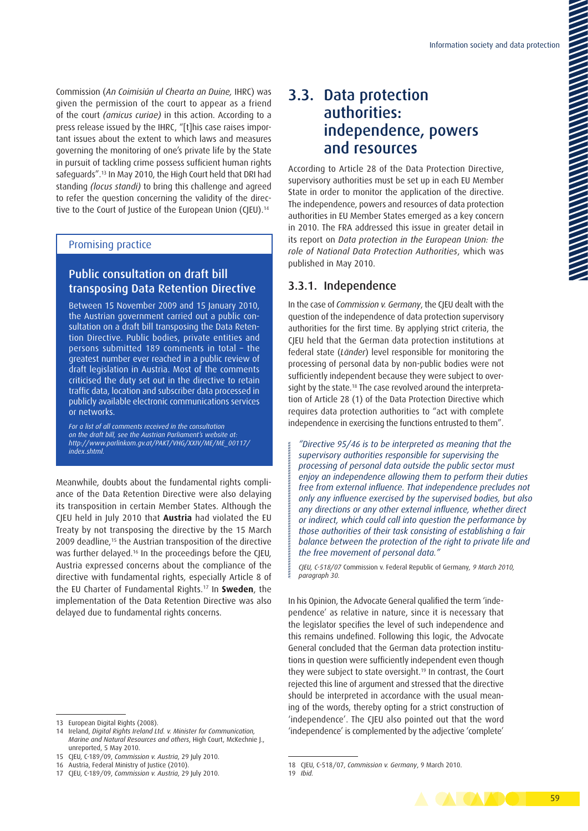Commission (*An Coimisiún ul Chearta an Duine,* IHRC) was given the permission of the court to appear as a friend of the court *(amicus curiae)* in this action. According to a press release issued by the IHRC, "[t]his case raises important issues about the extent to which laws and measures governing the monitoring of one's private life by the State in pursuit of tackling crime possess sufficient human rights safeguards".13 In May 2010, the High Court held that DRI had standing *(locus standi)* to bring this challenge and agreed to refer the question concerning the validity of the directive to the Court of Justice of the European Union (CJEU).<sup>14</sup>

#### Promising practice

#### Public consultation on draft bill transposing Data Retention Directive

Between 15 November 2009 and 15 January 2010, the Austrian government carried out a public consultation on a draft bill transposing the Data Retention Directive. Public bodies, private entities and persons submitted 189 comments in total – the greatest number ever reached in a public review of draft legislation in Austria. Most of the comments criticised the duty set out in the directive to retain traffic data, location and subscriber data processed in publicly available electronic communications services or networks.

*For a list of all comments received in the consultation on the draft bill, see the Austrian Parliament's website at: [http://www.parlinkom.gv.at/PAKT/VHG/XXIV/ME/ME\\_00117/](http://www.parlinkom.gv.at/PAKT/VHG/XXIV/ME/ME_00117/index.shtml) [index.shtml](http://www.parlinkom.gv.at/PAKT/VHG/XXIV/ME/ME_00117/index.shtml).*

Meanwhile, doubts about the fundamental rights compliance of the Data Retention Directive were also delaying its transposition in certain Member States. Although the CJEU held in July 2010 that **Austria** had violated the EU Treaty by not transposing the directive by the 15 March 2009 deadline,<sup>15</sup> the Austrian transposition of the directive was further delayed.<sup>16</sup> In the proceedings before the CJEU, Austria expressed concerns about the compliance of the directive with fundamental rights, especially Article 8 of the EU Charter of Fundamental Rights.17 In **Sweden**, the implementation of the Data Retention Directive was also delayed due to fundamental rights concerns.

## 3.3. Data protection authorities: independence, powers and resources

According to Article 28 of the Data Protection Directive, supervisory authorities must be set up in each EU Member State in order to monitor the application of the directive. The independence, powers and resources of data protection authorities in EU Member States emerged as a key concern in 2010. The FRA addressed this issue in greater detail in its report on *Data protection in the European Union: the role of National Data Protection Authorities*, which was published in May 2010.

#### 3.3.1. Independence

In the case of *Commission v. Germany*, the CJEU dealt with the question of the independence of data protection supervisory authorities for the first time. By applying strict criteria, the CJEU held that the German data protection institutions at federal state (*Länder*) level responsible for monitoring the processing of personal data by non-public bodies were not sufficiently independent because they were subject to oversight by the state.<sup>18</sup> The case revolved around the interpretation of Article 28 (1) of the Data Protection Directive which requires data protection authorities to "act with complete independence in exercising the functions entrusted to them".

*"Directive 95/46 is to be interpreted as meaning that the supervisory authorities responsible for supervising the processing of personal data outside the public sector must enjoy an independence allowing them to perform their duties free from external influence. That independence precludes not only any influence exercised by the supervised bodies, but also any directions or any other external influence, whether direct or indirect, which could call into question the performance by those authorities of their task consisting of establishing a fair balance between the protection of the right to private life and the free movement of personal data."*

*CJEU, C-518/07* Commission v. Federal Republic of Germany*, 9 March 2010, paragraph 30.*

In his Opinion, the Advocate General qualified the term 'independence' as relative in nature, since it is necessary that the legislator specifies the level of such independence and this remains undefined. Following this logic, the Advocate General concluded that the German data protection institutions in question were sufficiently independent even though they were subject to state oversight.19 In contrast, the Court rejected this line of argument and stressed that the directive should be interpreted in accordance with the usual meaning of the words, thereby opting for a strict construction of 'independence'. The CJEU also pointed out that the word 'independence' is complemented by the adjective 'complete'



<sup>13</sup> European Digital Rights (2008).

<sup>14</sup> Ireland, *Digital Rights Ireland Ltd. v. Minister for Communication, Marine and Natural Resources and others*, High Court, McKechnie J., unreported, 5 May 2010.

<sup>15</sup> CJEU, C-189/09, *Commission v. Austria*, 29 July 2010.

<sup>16</sup> Austria, Federal Ministry of Justice (2010).

<sup>17</sup> CJEU, C-189/09, *Commission v. Austria*, 29 July 2010.

<sup>18</sup> CJEU, C-518/07, *Commission v. Germany*, 9 March 2010.

<sup>19</sup> *Ibid.*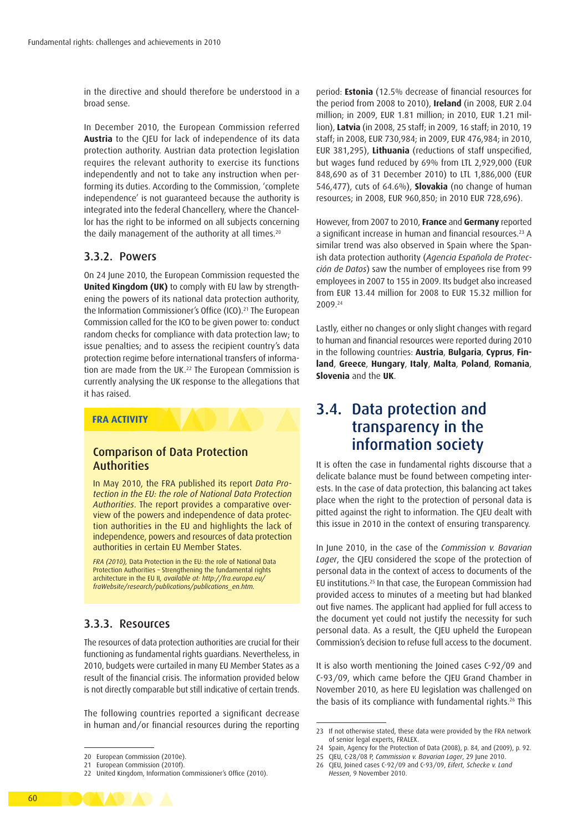in the directive and should therefore be understood in a broad sense.

In December 2010, the European Commission referred **Austria** to the CJEU for lack of independence of its data protection authority. Austrian data protection legislation requires the relevant authority to exercise its functions independently and not to take any instruction when performing its duties. According to the Commission, 'complete independence' is not guaranteed because the authority is integrated into the federal Chancellery, where the Chancellor has the right to be informed on all subjects concerning the daily management of the authority at all times.<sup>20</sup>

#### 3.3.2. Powers

On 24 June 2010, the European Commission requested the **United Kingdom (UK)** to comply with EU law by strengthening the powers of its national data protection authority, the Information Commissioner's Office (ICO).21 The European Commission called for the ICO to be given power to: conduct random checks for compliance with data protection law; to issue penalties; and to assess the recipient country's data protection regime before international transfers of information are made from the UK.<sup>22</sup> The European Commission is currently analysing the UK response to the allegations that it has raised.

#### **FRA ACTIVITY**

#### Comparison of Data Protection **Authorities**

In May 2010, the FRA published its report *Data Protection in the EU: the role of National Data Protection Authorities*. The report provides a comparative overview of the powers and independence of data protection authorities in the EU and highlights the lack of independence, powers and resources of data protection authorities in certain EU Member States.

*FRA (2010),* Data Protection in the EU: the role of National Data Protection Authorities – Strengthening the fundamental rights architecture in the EU II*, available at: [http://fra.europa.eu/](http://fra.europa.eu/fraWebsite/research/publications/publications_en.htm) [fraWebsite/research/publications/publications\\_en.htm](http://fra.europa.eu/fraWebsite/research/publications/publications_en.htm).* 

#### 3.3.3. Resources

The resources of data protection authorities are crucial for their functioning as fundamental rights guardians. Nevertheless, in 2010, budgets were curtailed in many EU Member States as a result of the financial crisis. The information provided below is not directly comparable but still indicative of certain trends.

The following countries reported a significant decrease in human and/or financial resources during the reporting period: **Estonia** (12.5% decrease of financial resources for the period from 2008 to 2010), **Ireland** (in 2008, EUR 2.04 million; in 2009, EUR 1.81 million; in 2010, EUR 1.21 million), **Latvia** (in 2008, 25 staff; in 2009, 16 staff; in 2010, 19 staff; in 2008, EUR 730,984; in 2009, EUR 476,984; in 2010, EUR 381,295), **Lithuania** (reductions of staff unspecified, but wages fund reduced by 69% from LTL 2,929,000 (EUR 848,690 as of 31 December 2010) to LTL 1,886,000 (EUR 546,477), cuts of 64.6%), **Slovakia** (no change of human resources; in 2008, EUR 960,850; in 2010 EUR 728,696).

However, from 2007 to 2010, **France** and **Germany** reported a significant increase in human and financial resources.23 A similar trend was also observed in Spain where the Spanish data protection authority (*Agencia Española de Protección de Datos*) saw the number of employees rise from 99 employees in 2007 to 155 in 2009. Its budget also increased from EUR 13.44 million for 2008 to EUR 15.32 million for 2009.24

Lastly, either no changes or only slight changes with regard to human and financial resources were reported during 2010 in the following countries: **Austria**, **Bulgaria**, **Cyprus**, **Finland**, **Greece**, **Hungary**, **Italy**, **Malta**, **Poland**, **Romania**, **Slovenia** and the **UK**.

#### 3.4. Data protection and transparency in the information society

It is often the case in fundamental rights discourse that a delicate balance must be found between competing interests. In the case of data protection, this balancing act takes place when the right to the protection of personal data is pitted against the right to information. The CJEU dealt with this issue in 2010 in the context of ensuring transparency.

In June 2010, in the case of the *Commission v. Bavarian Lager*, the CJEU considered the scope of the protection of personal data in the context of access to documents of the EU institutions.25 In that case, the European Commission had provided access to minutes of a meeting but had blanked out five names. The applicant had applied for full access to the document yet could not justify the necessity for such personal data. As a result, the CJEU upheld the European Commission's decision to refuse full access to the document.

It is also worth mentioning the Joined cases C-92/09 and C-93/09, which came before the CJEU Grand Chamber in November 2010, as here EU legislation was challenged on the basis of its compliance with fundamental rights.26 This



<sup>20</sup> European Commission (2010e).

<sup>21</sup> European Commission (2010f).

<sup>22</sup> United Kingdom, Information Commissioner's Office (2010).

<sup>23</sup> If not otherwise stated, these data were provided by the FRA network of senior legal experts, FRALEX.

<sup>24</sup> Spain, Agency for the Protection of Data (2008), p. 84, and (2009), p. 92.

<sup>25</sup> CJEU, C-28/08 P, *Commission v. Bavarian Lager*, 29 June 2010.

<sup>26</sup> CJEU, Joined cases C-92/09 and C-93/09, *Eifert, Schecke v. Land Hessen*, 9 November 2010.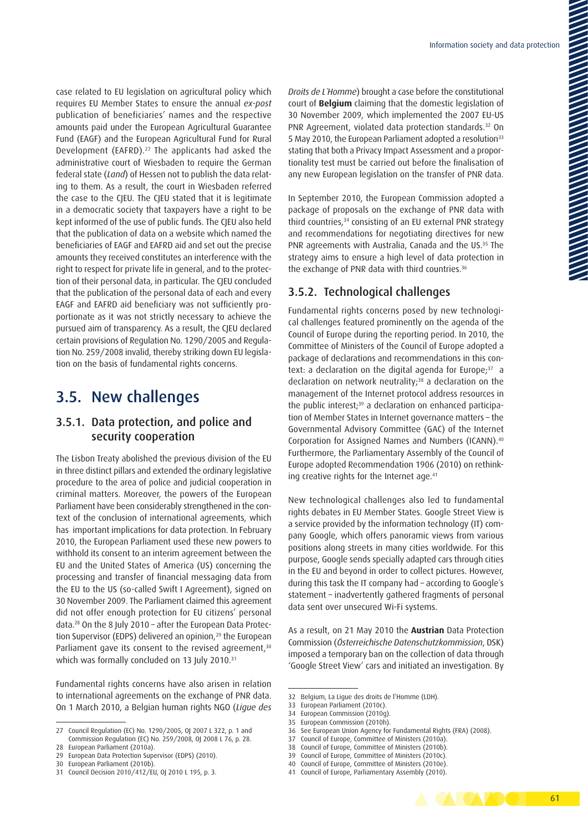case related to EU legislation on agricultural policy which requires EU Member States to ensure the annual *ex-post*  publication of beneficiaries' names and the respective amounts paid under the European Agricultural Guarantee Fund (EAGF) and the European Agricultural Fund for Rural Development (EAFRD).27 The applicants had asked the administrative court of Wiesbaden to require the German federal state (*Land*) of Hessen not to publish the data relating to them. As a result, the court in Wiesbaden referred the case to the CJEU. The CJEU stated that it is legitimate in a democratic society that taxpayers have a right to be kept informed of the use of public funds. The CJEU also held that the publication of data on a website which named the beneficiaries of EAGF and EAFRD aid and set out the precise amounts they received constitutes an interference with the right to respect for private life in general, and to the protection of their personal data, in particular. The CJEU concluded that the publication of the personal data of each and every EAGF and EAFRD aid beneficiary was not sufficiently proportionate as it was not strictly necessary to achieve the pursued aim of transparency. As a result, the CJEU declared certain provisions of Regulation No. 1290/2005 and Regulation No. 259/2008 invalid, thereby striking down EU legislation on the basis of fundamental rights concerns.

### 3.5. New challenges

#### 3.5.1. Data protection, and police and security cooperation

The Lisbon Treaty abolished the previous division of the EU in three distinct pillars and extended the ordinary legislative procedure to the area of police and judicial cooperation in criminal matters. Moreover, the powers of the European Parliament have been considerably strengthened in the context of the conclusion of international agreements, which has important implications for data protection. In February 2010, the European Parliament used these new powers to withhold its consent to an interim agreement between the EU and the United States of America (US) concerning the processing and transfer of financial messaging data from the EU to the US (so-called Swift I Agreement), signed on 30 November 2009. The Parliament claimed this agreement did not offer enough protection for EU citizens' personal data.28 On the 8 July 2010 – after the European Data Protection Supervisor (EDPS) delivered an opinion,<sup>29</sup> the European Parliament gave its consent to the revised agreement.<sup>30</sup> which was formally concluded on 13 July 2010.<sup>31</sup>

Fundamental rights concerns have also arisen in relation to international agreements on the exchange of PNR data. On 1 March 2010, a Belgian human rights NGO (*Ligue des*  *Droits de L´Homme*) brought a case before the constitutional court of **Belgium** claiming that the domestic legislation of 30 November 2009, which implemented the 2007 EU-US PNR Agreement, violated data protection standards.32 On 5 May 2010, the European Parliament adopted a resolution<sup>33</sup> stating that both a Privacy Impact Assessment and a proportionality test must be carried out before the finalisation of any new European legislation on the transfer of PNR data.

In September 2010, the European Commission adopted a package of proposals on the exchange of PNR data with third countries,<sup>34</sup> consisting of an EU external PNR strategy and recommendations for negotiating directives for new PNR agreements with Australia, Canada and the US.<sup>35</sup> The strategy aims to ensure a high level of data protection in the exchange of PNR data with third countries.<sup>36</sup>

#### 3.5.2. Technological challenges

Fundamental rights concerns posed by new technological challenges featured prominently on the agenda of the Council of Europe during the reporting period. In 2010, the Committee of Ministers of the Council of Europe adopted a package of declarations and recommendations in this context: a declaration on the digital agenda for Europe;<sup>37</sup> a declaration on network neutrality;<sup>38</sup> a declaration on the management of the Internet protocol address resources in the public interest;39 a declaration on enhanced participation of Member States in Internet governance matters – the Governmental Advisory Committee (GAC) of the Internet Corporation for Assigned Names and Numbers (ICANN).40 Furthermore, the Parliamentary Assembly of the Council of Europe adopted Recommendation 1906 (2010) on rethinking creative rights for the Internet age.<sup>41</sup>

New technological challenges also led to fundamental rights debates in EU Member States. Google Street View is a service provided by the information technology (IT) company Google, which offers panoramic views from various positions along streets in many cities worldwide. For this purpose, Google sends specially adapted cars through cities in the EU and beyond in order to collect pictures. However, during this task the IT company had – according to Google´s statement – inadvertently gathered fragments of personal data sent over unsecured Wi-Fi systems.

As a result, on 21 May 2010 the **Austrian** Data Protection Commission (*Österreichische Datenschutzkommission*, DSK) imposed a temporary ban on the collection of data through 'Google Street View' cars and initiated an investigation. By

38 Council of Europe, Committee of Ministers (2010b). 39 Council of Europe, Committee of Ministers (2010c).

61

<sup>27</sup> Council Regulation (EC) No. 1290/2005, OJ 2007 L 322, p. 1 and Commission Regulation (EC) No. 259/2008, OJ 2008 L 76, p. 28.

<sup>28</sup> European Parliament (2010a).

<sup>29</sup> European Data Protection Supervisor (EDPS) (2010). 30 European Parliament (2010b).

<sup>31</sup> Council Decision 2010/412/EU, OJ 2010 L 195, p. 3.

<sup>32</sup> Belgium, La Ligue des droits de l'Homme (LDH).

<sup>33</sup> European Parliament (2010c).

<sup>34</sup> European Commission (2010g).

<sup>35</sup> European Commission (2010h).

<sup>36</sup> See European Union Agency for Fundamental Rights (FRA) (2008).

<sup>37</sup> Council of Europe, Committee of Ministers (2010a).

<sup>40</sup> Council of Europe, Committee of Ministers (2010e).

<sup>41</sup> Council of Europe, Parliamentary Assembly (2010).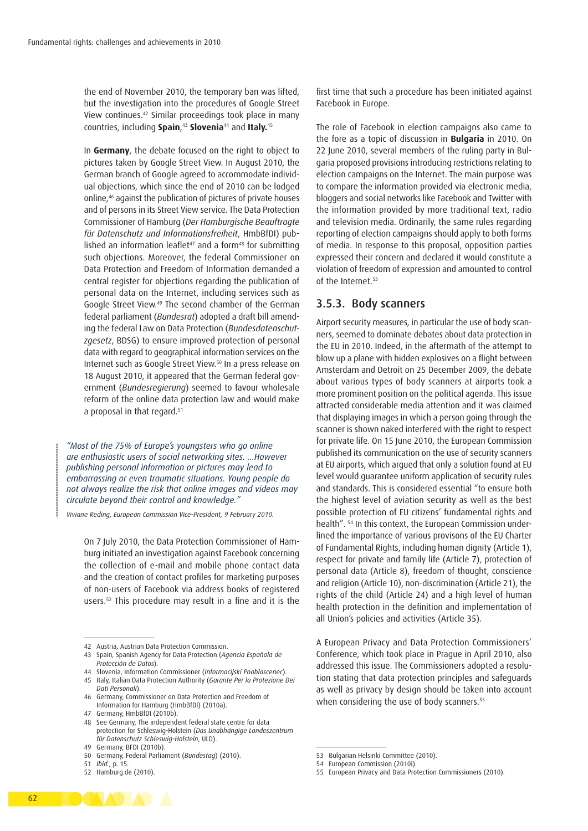the end of November 2010, the temporary ban was lifted, but the investigation into the procedures of Google Street View continues.42 Similar proceedings took place in many countries, including **Spain**, <sup>43</sup> **Slovenia**44 and **Italy.**<sup>45</sup>

In **Germany**, the debate focused on the right to object to pictures taken by Google Street View. In August 2010, the German branch of Google agreed to accommodate individual objections, which since the end of 2010 can be lodged online,46 against the publication of pictures of private houses and of persons in its Street View service. The Data Protection Commissioner of Hamburg (*Der Hamburgische Beauftragte für Datenschutz und Informationsfreiheit*, HmbBfDI) published an information leaflet<sup>47</sup> and a form<sup>48</sup> for submitting such objections. Moreover, the federal Commissioner on Data Protection and Freedom of Information demanded a central register for objections regarding the publication of personal data on the Internet, including services such as Google Street View.49 The second chamber of the German federal parliament (*Bundesrat*) adopted a draft bill amending the federal Law on Data Protection (*Bundesdatenschutzgesetz*, BDSG) to ensure improved protection of personal data with regard to geographical information services on the Internet such as Google Street View.50 In a press release on 18 August 2010, it appeared that the German federal government (*Bundesregierung*) seemed to favour wholesale reform of the online data protection law and would make a proposal in that regard.51

*"Most of the 75% of Europe's youngsters who go online are enthusiastic users of social networking sites. …However publishing personal information or pictures may lead to embarrassing or even traumatic situations. Young people do not always realize the risk that online images and videos may circulate beyond their control and knowledge."*

*Viviane Reding, European Commission Vice-President, 9 February 2010.*

On 7 July 2010, the Data Protection Commissioner of Hamburg initiated an investigation against Facebook concerning the collection of e-mail and mobile phone contact data and the creation of contact profiles for marketing purposes of non-users of Facebook via address books of registered users.52 This procedure may result in a fine and it is the first time that such a procedure has been initiated against Facebook in Europe.

The role of Facebook in election campaigns also came to the fore as a topic of discussion in **Bulgaria** in 2010. On 22 June 2010, several members of the ruling party in Bulgaria proposed provisions introducing restrictions relating to election campaigns on the Internet. The main purpose was to compare the information provided via electronic media, bloggers and social networks like Facebook and Twitter with the information provided by more traditional text, radio and television media. Ordinarily, the same rules regarding reporting of election campaigns should apply to both forms of media. In response to this proposal, opposition parties expressed their concern and declared it would constitute a violation of freedom of expression and amounted to control of the Internet.<sup>53</sup>

#### 3.5.3. Body scanners

Airport security measures, in particular the use of body scanners, seemed to dominate debates about data protection in the EU in 2010. Indeed, in the aftermath of the attempt to blow up a plane with hidden explosives on a flight between Amsterdam and Detroit on 25 December 2009, the debate about various types of body scanners at airports took a more prominent position on the political agenda. This issue attracted considerable media attention and it was claimed that displaying images in which a person going through the scanner is shown naked interfered with the right to respect for private life. On 15 June 2010, the European Commission published its communication on the use of security scanners at EU airports, which argued that only a solution found at EU level would guarantee uniform application of security rules and standards. This is considered essential "to ensure both the highest level of aviation security as well as the best possible protection of EU citizens' fundamental rights and health". 54 In this context, the European Commission underlined the importance of various provisons of the EU Charter of Fundamental Rights, including human dignity (Article 1), respect for private and family life (Article 7), protection of personal data (Article 8), freedom of thought, conscience and religion (Article 10), non-discrimination (Article 21), the rights of the child (Article 24) and a high level of human health protection in the definition and implementation of all Union's policies and activities (Article 35).

A European Privacy and Data Protection Commissioners' Conference, which took place in Prague in April 2010, also addressed this issue. The Commissioners adopted a resolution stating that data protection principles and safeguards as well as privacy by design should be taken into account when considering the use of body scanners.<sup>55</sup>



<sup>42</sup> Austria, Austrian Data Protection Commission.

<sup>43</sup> Spain, Spanish Agency for Data Protection (*Agencia Española de Protección de Datos*).

<sup>44</sup> Slovenia, Information Commissioner (*Informacijski Pooblascenec*).

<sup>45</sup> Italy, Italian Data Protection Authority (*Garante Per la Protezione Dei Dati Personali*).

<sup>46</sup> Germany, Commissioner on Data Protection and Freedom of Information for Hamburg (HmbBfDI) (2010a).

<sup>47</sup> Germany, HmbBfDI (2010b)

<sup>48</sup> See Germany, The independent federal state centre for data protection for Schleswig-Holstein (*Das Unabhängige Landeszentrum für Datenschutz Schleswig-Holstein*, ULD).

<sup>49</sup> Germany, BFDI (2010b).

<sup>50</sup> Germany, Federal Parliament (*Bundestag*) (2010).

<sup>51</sup> *Ibid.*, p. 15.

<sup>52</sup> Hamburg.de (2010).

<sup>53</sup> Bulgarian Helsinki Committee (2010).

<sup>54</sup> European Commission (2010i).

<sup>55</sup> European Privacy and Data Protection Commissioners (2010).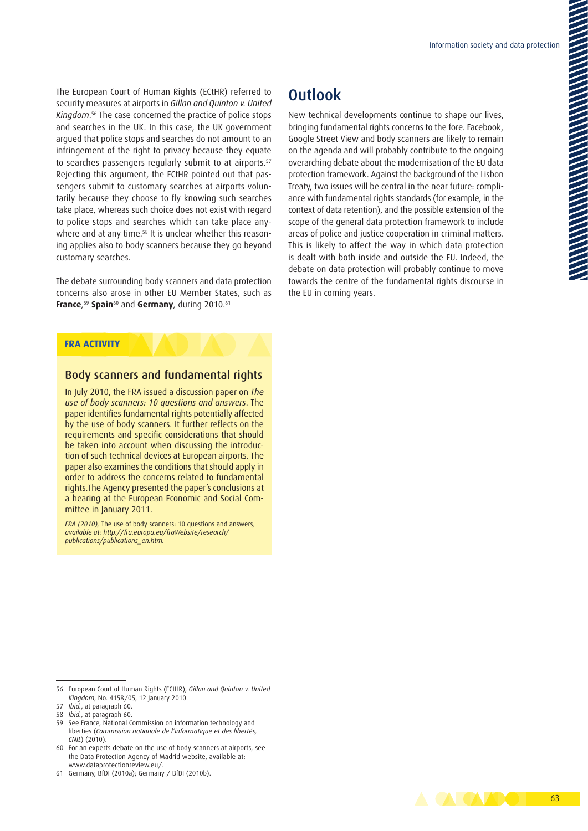The European Court of Human Rights (ECtHR) referred to security measures at airports in *Gillan and Quinton v. United Kingdom*. 56 The case concerned the practice of police stops and searches in the UK. In this case, the UK government argued that police stops and searches do not amount to an infringement of the right to privacy because they equate to searches passengers regularly submit to at airports.<sup>57</sup> Rejecting this argument, the ECtHR pointed out that passengers submit to customary searches at airports voluntarily because they choose to fly knowing such searches take place, whereas such choice does not exist with regard to police stops and searches which can take place anywhere and at any time.<sup>58</sup> It is unclear whether this reasoning applies also to body scanners because they go beyond customary searches.

The debate surrounding body scanners and data protection concerns also arose in other EU Member States, such as **France**, <sup>59</sup> **Spain**60 and **Germany**, during 2010.61

## **Outlook**

New technical developments continue to shape our lives, bringing fundamental rights concerns to the fore. Facebook, Google Street View and body scanners are likely to remain on the agenda and will probably contribute to the ongoing overarching debate about the modernisation of the EU data protection framework. Against the background of the Lisbon Treaty, two issues will be central in the near future: compliance with fundamental rights standards (for example, in the context of data retention), and the possible extension of the scope of the general data protection framework to include areas of police and justice cooperation in criminal matters. This is likely to affect the way in which data protection is dealt with both inside and outside the EU. Indeed, the debate on data protection will probably continue to move towards the centre of the fundamental rights discourse in the EU in coming years.

#### **FRA ACTIVITY**

#### Body scanners and fundamental rights

In July 2010, the FRA issued a discussion paper on *The use of body scanners: 10 questions and answers*. The paper identifies fundamental rights potentially affected by the use of body scanners. It further reflects on the requirements and specific considerations that should be taken into account when discussing the introduction of such technical devices at European airports. The paper also examines the conditions that should apply in order to address the concerns related to fundamental rights.The Agency presented the paper's conclusions at a hearing at the European Economic and Social Committee in January 2011.

*FRA (2010),* The use of body scanners: 10 questions and answers*, available at: [http://fra.europa.eu/fraWebsite/research/](http://fra.europa.eu/fraWebsite/research/publications/publications_en.htm) [publications/publications\\_en.htm](http://fra.europa.eu/fraWebsite/research/publications/publications_en.htm).*

- 59 See France, National Commission on information technology and liberties (*Commission nationale de l'informatique et des libertés, CNIL*) (2010).
- 60 For an experts debate on the use of body scanners at airports, see the Data Protection Agency of Madrid website, available at: <www.dataprotectionreview.eu/>.



<sup>56</sup> European Court of Human Rights (ECtHR), *Gillan and Quinton v. United Kingdom*, No. 4158/05, 12 January 2010.

<sup>57</sup> *Ibid.*, at paragraph 60.

<sup>58</sup> *Ibid.*, at paragraph 60.

<sup>61</sup> Germany, BfDI (2010a); Germany / BfDI (2010b).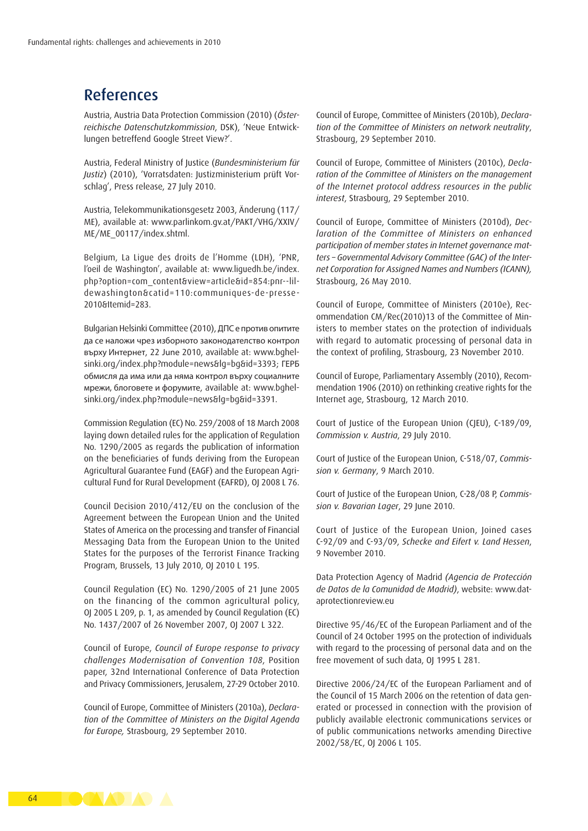## References

Austria, Austria Data Protection Commission (2010) (*Österreichische Datenschutzkommission*, DSK), 'Neue Entwicklungen betreffend Google Street View?'.

Austria, Federal Ministry of Justice (*Bundesministerium für Justiz*) (2010), 'Vorratsdaten: Justizministerium prüft Vorschlag', Press release, 27 July 2010.

Austria, Telekommunikationsgesetz 2003, Änderung (117/ ME), available at: [www.parlinkom.gv.at/PAKT/VHG/XXIV/](www.parlinkom.gv.at/PAKT/VHG/XXIV/ME/ME_00117/index.shtml) [ME/ME\\_00117/index.shtml.](www.parlinkom.gv.at/PAKT/VHG/XXIV/ME/ME_00117/index.shtml)

Belgium, La Ligue des droits de l'Homme (LDH), 'PNR, l'oeil de Washington', available at: [www.liguedh.be/index.](www.liguedh.be/index.php?option=com_content&view=article&id=854:pnr--lil- dewashington&catid=110:communiques-de-presse- 2010&Itemid=283) [php?option=com\\_content&view=article&id=854:pnr--lil](www.liguedh.be/index.php?option=com_content&view=article&id=854:pnr--lil- dewashington&catid=110:communiques-de-presse- 2010&Itemid=283)[dewashington&catid=110:communiques-de-presse-](www.liguedh.be/index.php?option=com_content&view=article&id=854:pnr--lil- dewashington&catid=110:communiques-de-presse- 2010&Itemid=283)[2010&Itemid=283.](www.liguedh.be/index.php?option=com_content&view=article&id=854:pnr--lil- dewashington&catid=110:communiques-de-presse- 2010&Itemid=283)

Bulgarian Helsinki Committee (2010), ДПС е против опитите да се наложи чрез изборното законодателство контрол върху Интернет, 22 June 2010, available at: [www.bghel](http://www.bghelsinki.org/en/index.php?module=news&lg=bg&id=3393)[sinki.org/index.php?module=news&lg=bg&id=3393;](http://www.bghelsinki.org/en/index.php?module=news&lg=bg&id=3393) ГЕРБ обмисля да има или да няма контрол върху социалните мрежи, блоговете и форумите, available at: [www.bghel](http://www.bghelsinki.org/en/index.php?module=news&lg=bg&id=3391)[sinki.org/index.php?module=news&lg=bg&id=3391.](http://www.bghelsinki.org/en/index.php?module=news&lg=bg&id=3391)

Commission Regulation (EC) No. 259/2008 of 18 March 2008 laying down detailed rules for the application of Regulation No. 1290/2005 as regards the publication of information on the beneficiaries of funds deriving from the European Agricultural Guarantee Fund (EAGF) and the European Agricultural Fund for Rural Development (EAFRD), OJ 2008 L 76.

Council Decision 2010/412/EU on the conclusion of the Agreement between the European Union and the United States of America on the processing and transfer of Financial Messaging Data from the European Union to the United States for the purposes of the Terrorist Finance Tracking Program, Brussels, 13 July 2010, OJ 2010 L 195.

Council Regulation (EC) No. 1290/2005 of 21 June 2005 on the financing of the common agricultural policy, OJ 2005 L 209, p. 1, as amended by Council Regulation (EC) No. 1437/2007 of 26 November 2007, OJ 2007 L 322.

Council of Europe, *Council of Europe response to privacy challenges Modernisation of Convention 108*, Position paper, 32nd International Conference of Data Protection and Privacy Commissioners, Jerusalem, 27-29 October 2010.

Council of Europe, Committee of Ministers (2010a), *Declaration of the Committee of Ministers on the Digital Agenda for Europe,* Strasbourg, 29 September 2010.

Council of Europe, Committee of Ministers (2010b), *Declaration of the Committee of Ministers on network neutrality*, Strasbourg, 29 September 2010.

Council of Europe, Committee of Ministers (2010c), *Declaration of the Committee of Ministers on the management of the Internet protocol address resources in the public interest*, Strasbourg, 29 September 2010.

Council of Europe, Committee of Ministers (2010d), *Declaration of the Committee of Ministers on enhanced participation of member states in Internet governance matters – Governmental Advisory Committee (GAC) of the Internet Corporation for Assigned Names and Numbers (ICANN),* Strasbourg, 26 May 2010.

Council of Europe, Committee of Ministers (2010e), Recommendation CM/Rec(2010)13 of the Committee of Ministers to member states on the protection of individuals with regard to automatic processing of personal data in the context of profiling, Strasbourg, 23 November 2010.

Council of Europe, Parliamentary Assembly (2010), Recommendation 1906 (2010) on rethinking creative rights for the Internet age, Strasbourg, 12 March 2010.

Court of Justice of the European Union (CJEU), C-189/09, *Commission v. Austria*, 29 July 2010.

Court of Justice of the European Union, C-518/07, *Commission v. Germany*, 9 March 2010.

Court of Justice of the European Union, C-28/08 P, *Commission v. Bavarian Lager*, 29 June 2010.

Court of Justice of the European Union, Joined cases C-92/09 and C-93/09, *Schecke and Eifert v. Land Hessen*, 9 November 2010.

Data Protection Agency of Madrid *(Agencia de Protección de Datos de la Comunidad de Madrid)*, website: [www.dat](www.dataprotectionreview.eu)[aprotectionreview.eu](www.dataprotectionreview.eu)

Directive 95/46/EC of the European Parliament and of the Council of 24 October 1995 on the protection of individuals with regard to the processing of personal data and on the free movement of such data, OJ 1995 L 281.

Directive 2006/24/EC of the European Parliament and of the Council of 15 March 2006 on the retention of data generated or processed in connection with the provision of publicly available electronic communications services or of public communications networks amending Directive 2002/58/EC, OJ 2006 L 105.

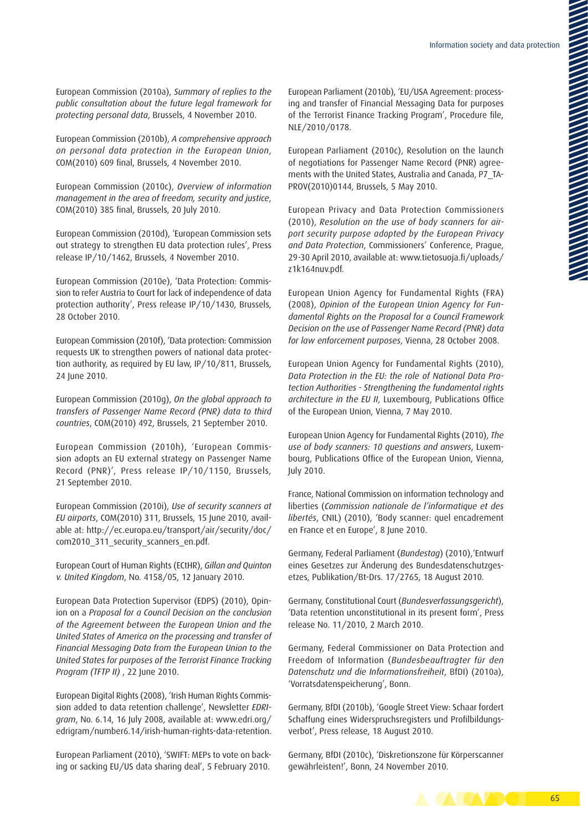European Commission (2010a), *Summary of replies to the public consultation about the future legal framework for protecting personal data*, Brussels, 4 November 2010.

European Commission (2010b), *A comprehensive approach on personal data protection in the European Union*, COM(2010) 609 final, Brussels, 4 November 2010.

European Commission (2010c), *Overview of information management in the area of freedom, security and justice*, COM(2010) 385 final, Brussels, 20 July 2010.

European Commission (2010d), 'European Commission sets out strategy to strengthen EU data protection rules', Press release IP/10/1462, Brussels, 4 November 2010.

European Commission (2010e), 'Data Protection: Commission to refer Austria to Court for lack of independence of data protection authority', Press release IP/10/1430, Brussels, 28 October 2010.

European Commission (2010f), 'Data protection: Commission requests UK to strengthen powers of national data protection authority, as required by EU law, IP/10/811, Brussels, 24 June 2010.

European Commission (2010g), *On the global approach to transfers of Passenger Name Record (PNR) data to third countries*, COM(2010) 492, Brussels, 21 September 2010.

European Commission (2010h), 'European Commission adopts an EU external strategy on Passenger Name Record (PNR)', Press release IP/10/1150, Brussels, 21 September 2010.

European Commission (2010i), *Use of security scanners at EU airports*, COM(2010) 311, Brussels, 15 June 2010, available at: [http://ec.europa.eu/transport/air/security/doc/](http://ec.europa.eu/transport/air/security/doc/com2010_311_security_scanners_en.pdf) [com2010\\_311\\_security\\_scanners\\_en.pdf.](http://ec.europa.eu/transport/air/security/doc/com2010_311_security_scanners_en.pdf)

European Court of Human Rights (ECtHR), *Gillan and Quinton v. United Kingdom*, No. 4158/05, 12 January 2010.

European Data Protection Supervisor (EDPS) (2010), Opinion on a *Proposal for a Council Decision on the conclusion of the Agreement between the European Union and the United States of America on the processing and transfer of Financial Messaging Data from the European Union to the United States for purposes of the Terrorist Finance Tracking Program (TFTP II)* , 22 June 2010.

European Digital Rights (2008), 'Irish Human Rights Commission added to data retention challenge', Newsletter *EDRIgram*, No. 6.14, 16 July 2008, available at: [www.edri.org/](www.edri.org/edrigram/number6.14/irish-human-rights-data-retention) [edrigram/number6.14/irish-human-rights-data-retention.](www.edri.org/edrigram/number6.14/irish-human-rights-data-retention)

European Parliament (2010), 'SWIFT: MEPs to vote on backing or sacking EU/US data sharing deal', 5 February 2010.

European Parliament (2010b), 'EU/USA Agreement: processing and transfer of Financial Messaging Data for purposes of the Terrorist Finance Tracking Program', Procedure file, NLE/2010/0178.

European Parliament (2010c), Resolution on the launch of negotiations for Passenger Name Record (PNR) agreements with the United States, Australia and Canada, P7\_TA-PROV(2010)0144, Brussels, 5 May 2010.

European Privacy and Data Protection Commissioners (2010), *Resolution on the use of body scanners for airport security purpose adopted by the European Privacy and Data Protection*, Commissioners' Conference, Prague, 29-30 April 2010, available at: [www.tietosuoja.fi/uploads/](www.tietosuoja.fi/uploads/z1k164nuv.pdf) [z1k164nuv.pdf](www.tietosuoja.fi/uploads/z1k164nuv.pdf).

European Union Agency for Fundamental Rights (FRA) (2008), *Opinion of the European Union Agency for Fundamental Rights on the Proposal for a Council Framework Decision on the use of Passenger Name Record (PNR) data for law enforcement purposes*, Vienna, 28 October 2008.

European Union Agency for Fundamental Rights (2010), *Data Protection in the EU: the role of National Data Protection Authorities - Strengthening the fundamental rights architecture in the EU II*, Luxembourg, Publications Office of the European Union, Vienna, 7 May 2010.

European Union Agency for Fundamental Rights (2010), *The use of body scanners: 10 questions and answers*, Luxembourg, Publications Office of the European Union, Vienna, July 2010.

France, National Commission on information technology and liberties (*Commission nationale de l'informatique et des libertés*, CNIL) (2010), 'Body scanner: quel encadrement en France et en Europe', 8 June 2010.

Germany, Federal Parliament (*Bundestag*) (2010),'Entwurf eines Gesetzes zur Änderung des Bundesdatenschutzgesetzes, Publikation/Bt-Drs. 17/2765, 18 August 2010.

Germany, Constitutional Court (*Bundesverfassungsgericht*), 'Data retention unconstitutional in its present form', Press release No. 11/2010, 2 March 2010.

Germany, Federal Commissioner on Data Protection and Freedom of Information (*Bundesbeauftragter für den Datenschutz und die Informationsfreiheit*, BfDI) (2010a), 'Vorratsdatenspeicherung', Bonn.

Germany, BfDI (2010b), 'Google Street View: Schaar fordert Schaffung eines Widerspruchsregisters und Profilbildungsverbot', Press release, 18 August 2010.

Germany, BfDI (2010c), 'Diskretionszone für Körperscanner gewährleisten!', Bonn, 24 November 2010.

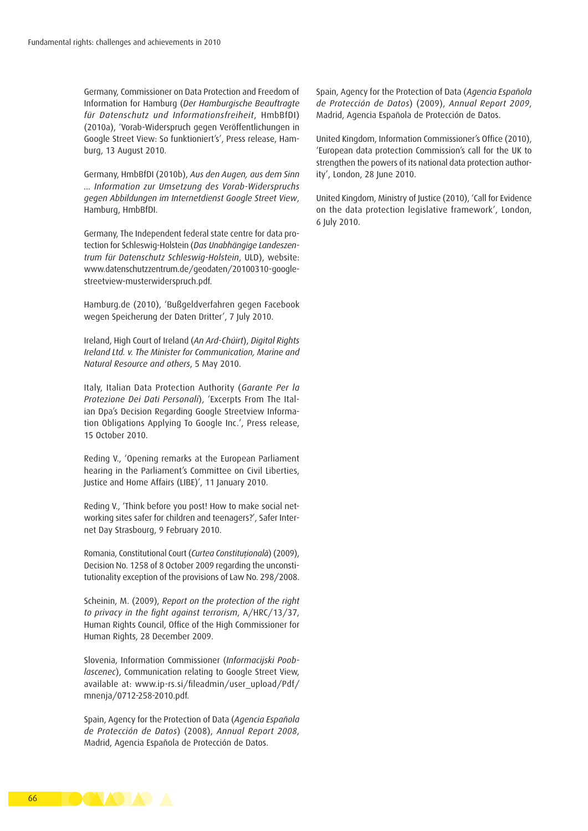Germany, Commissioner on Data Protection and Freedom of Information for Hamburg (*Der Hamburgische Beauftragte für Datenschutz und Informationsfreiheit*, HmbBfDI) (2010a), 'Vorab-Widerspruch gegen Veröffentlichungen in Google Street View: So funktioniert's', Press release, Hamburg, 13 August 2010.

Germany, HmbBfDI (2010b), *Aus den Augen, aus dem Sinn … Information zur Umsetzung des Vorab-Widerspruchs gegen Abbildungen im Internetdienst Google Street View*, Hamburg, HmbBfDI.

Germany, The Independent federal state centre for data protection for Schleswig-Holstein (*Das Unabhängige Landeszentrum für Datenschutz Schleswig-Holstein*, ULD), website: [www.datenschutzzentrum.de/geodaten/20100310-google](www.datenschutzzentrum.de/geodaten/20100310-google-streetview-musterwiderspruch.pdf)[streetview-musterwiderspruch.pdf.](www.datenschutzzentrum.de/geodaten/20100310-google-streetview-musterwiderspruch.pdf)

Hamburg.de (2010), 'Bußgeldverfahren gegen Facebook wegen Speicherung der Daten Dritter', 7 July 2010.

Ireland, High Court of Ireland (*An Ard-Chúirt*), *Digital Rights Ireland Ltd. v. The Minister for Communication, Marine and Natural Resource and others*, 5 May 2010.

Italy, Italian Data Protection Authority (*Garante Per la Protezione Dei Dati Personali*), 'Excerpts From The Italian Dpa's Decision Regarding Google Streetview Information Obligations Applying To Google Inc.', Press release, 15 October 2010.

Reding V., 'Opening remarks at the European Parliament hearing in the Parliament's Committee on Civil Liberties, Justice and Home Affairs (LIBE)', 11 January 2010.

Reding V., 'Think before you post! How to make social networking sites safer for children and teenagers?', Safer Internet Day Strasbourg, 9 February 2010.

Romania, Constitutional Court (*Curtea Constituţională*) (2009), Decision No. 1258 of 8 October 2009 regarding the unconstitutionality exception of the provisions of Law No. 298/2008.

Scheinin, M. (2009), *Report on the protection of the right to privacy in the fight against terrorism*, A/HRC/13/37, Human Rights Council, Office of the High Commissioner for Human Rights, 28 December 2009.

Slovenia, Information Commissioner (*Informacijski Pooblascenec*), Communication relating to Google Street View, available at: [www.ip-rs.si/fileadmin/user\\_upload/Pdf/](http://www.ip-rs.si/fileadmin/user_upload/Pdf/mnenja/0712-258-2010.pdf) [mnenja/0712-258-2010.pdf.](http://www.ip-rs.si/fileadmin/user_upload/Pdf/mnenja/0712-258-2010.pdf)

Spain, Agency for the Protection of Data (*Agencia Española de Protección de Datos*) (2008), *Annual Report 2008*, Madrid, Agencia Española de Protección de Datos.

Spain, Agency for the Protection of Data (*Agencia Española de Protección de Datos*) (2009), *Annual Report 2009*, Madrid, Agencia Española de Protección de Datos.

United Kingdom, Information Commissioner's Office (2010), 'European data protection Commission's call for the UK to strengthen the powers of its national data protection authority', London, 28 June 2010.

United Kingdom, Ministry of Justice (2010), 'Call for Evidence on the data protection legislative framework', London, 6 July 2010.